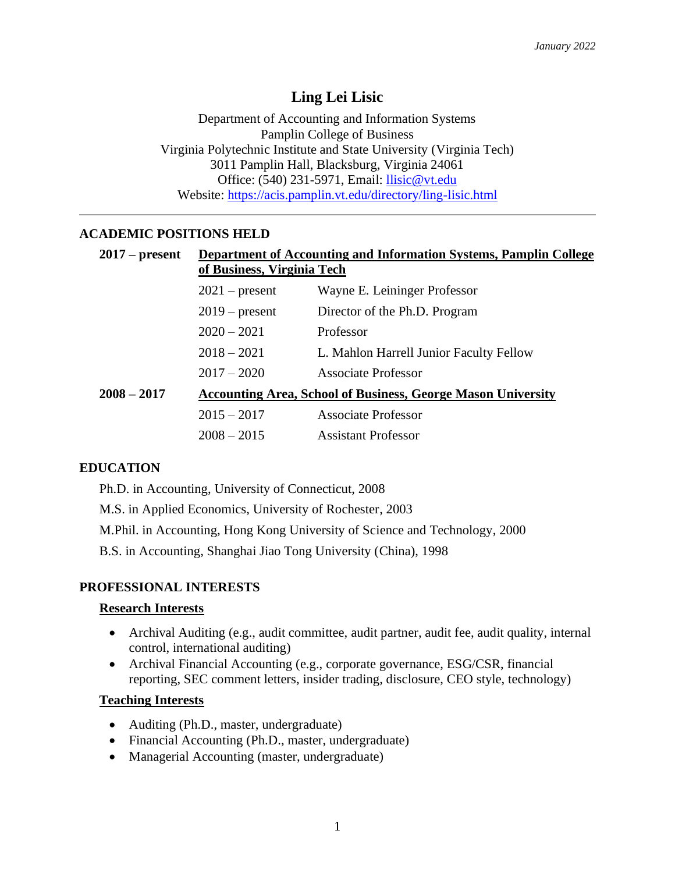# **Ling Lei Lisic**

Department of Accounting and Information Systems Pamplin College of Business Virginia Polytechnic Institute and State University (Virginia Tech) 3011 Pamplin Hall, Blacksburg, Virginia 24061 Office: (540) 231-5971, Email: [llisic@vt.edu](mailto:llisic@vt.edu) Website: <https://acis.pamplin.vt.edu/directory/ling-lisic.html>

# **ACADEMIC POSITIONS HELD**

| $2017$ – present | <b>Department of Accounting and Information Systems, Pamplin College</b><br>of Business, Virginia Tech |                                         |  |
|------------------|--------------------------------------------------------------------------------------------------------|-----------------------------------------|--|
|                  | $2021$ – present                                                                                       | Wayne E. Leininger Professor            |  |
|                  | $2019$ – present                                                                                       | Director of the Ph.D. Program           |  |
|                  | $2020 - 2021$                                                                                          | Professor                               |  |
|                  | $2018 - 2021$                                                                                          | L. Mahlon Harrell Junior Faculty Fellow |  |
|                  | $2017 - 2020$                                                                                          | <b>Associate Professor</b>              |  |
| $2008 - 2017$    | <b>Accounting Area, School of Business, George Mason University</b>                                    |                                         |  |
|                  | $2015 - 2017$                                                                                          | <b>Associate Professor</b>              |  |
|                  | $2008 - 2015$                                                                                          | <b>Assistant Professor</b>              |  |

# **EDUCATION**

Ph.D. in Accounting, University of Connecticut, 2008

M.S. in Applied Economics, University of Rochester, 2003

M.Phil. in Accounting, Hong Kong University of Science and Technology, 2000

B.S. in Accounting, Shanghai Jiao Tong University (China), 1998

# **PROFESSIONAL INTERESTS**

# **Research Interests**

- Archival Auditing (e.g., audit committee, audit partner, audit fee, audit quality, internal control, international auditing)
- Archival Financial Accounting (e.g., corporate governance, ESG/CSR, financial reporting, SEC comment letters, insider trading, disclosure, CEO style, technology)

# **Teaching Interests**

- Auditing (Ph.D., master, undergraduate)
- Financial Accounting (Ph.D., master, undergraduate)
- Managerial Accounting (master, undergraduate)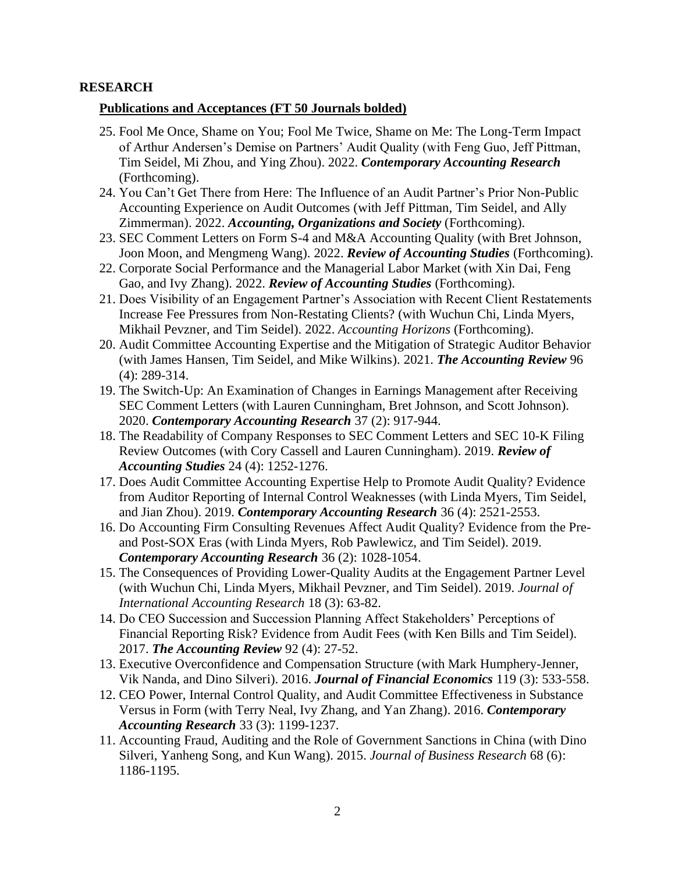## **RESEARCH**

## **Publications and Acceptances (FT 50 Journals bolded)**

- 25. Fool Me Once, Shame on You; Fool Me Twice, Shame on Me: The Long-Term Impact of Arthur Andersen's Demise on Partners' Audit Quality (with Feng Guo, Jeff Pittman, Tim Seidel, Mi Zhou, and Ying Zhou). 2022. *Contemporary Accounting Research* (Forthcoming).
- 24. You Can't Get There from Here: The Influence of an Audit Partner's Prior Non-Public Accounting Experience on Audit Outcomes (with Jeff Pittman, Tim Seidel, and Ally Zimmerman). 2022. *Accounting, Organizations and Society* (Forthcoming).
- 23. SEC Comment Letters on Form S-4 and M&A Accounting Quality (with Bret Johnson, Joon Moon, and Mengmeng Wang). 2022. *Review of Accounting Studies* (Forthcoming).
- 22. Corporate Social Performance and the Managerial Labor Market (with Xin Dai, Feng Gao, and Ivy Zhang). 2022. *Review of Accounting Studies* (Forthcoming).
- 21. Does Visibility of an Engagement Partner's Association with Recent Client Restatements Increase Fee Pressures from Non-Restating Clients? (with Wuchun Chi, Linda Myers, Mikhail Pevzner, and Tim Seidel). 2022. *Accounting Horizons* (Forthcoming).
- 20. Audit Committee Accounting Expertise and the Mitigation of Strategic Auditor Behavior (with James Hansen, Tim Seidel, and Mike Wilkins). 2021. *The Accounting Review* 96 (4): 289-314.
- 19. The Switch-Up: An Examination of Changes in Earnings Management after Receiving SEC Comment Letters (with Lauren Cunningham, Bret Johnson, and Scott Johnson). 2020. *Contemporary Accounting Research* 37 (2): 917-944.
- 18. The Readability of Company Responses to SEC Comment Letters and SEC 10-K Filing Review Outcomes (with Cory Cassell and Lauren Cunningham). 2019. *Review of Accounting Studies* 24 (4): 1252-1276.
- 17. Does Audit Committee Accounting Expertise Help to Promote Audit Quality? Evidence from Auditor Reporting of Internal Control Weaknesses (with Linda Myers, Tim Seidel, and Jian Zhou). 2019. *Contemporary Accounting Research* 36 (4): 2521-2553.
- 16. Do Accounting Firm Consulting Revenues Affect Audit Quality? Evidence from the Preand Post-SOX Eras (with Linda Myers, Rob Pawlewicz, and Tim Seidel). 2019. *Contemporary Accounting Research* 36 (2): 1028-1054.
- 15. The Consequences of Providing Lower-Quality Audits at the Engagement Partner Level (with Wuchun Chi, Linda Myers, Mikhail Pevzner, and Tim Seidel). 2019. *Journal of International Accounting Research* 18 (3): 63-82.
- 14. Do CEO Succession and Succession Planning Affect Stakeholders' Perceptions of Financial Reporting Risk? Evidence from Audit Fees (with Ken Bills and Tim Seidel). 2017. *The Accounting Review* 92 (4): 27-52.
- 13. Executive Overconfidence and Compensation Structure (with Mark Humphery-Jenner, Vik Nanda, and Dino Silveri). 2016. *Journal of Financial Economics* 119 (3): 533-558.
- 12. CEO Power, Internal Control Quality, and Audit Committee Effectiveness in Substance Versus in Form (with Terry Neal, Ivy Zhang, and Yan Zhang). 2016. *Contemporary Accounting Research* 33 (3): 1199-1237.
- 11. Accounting Fraud, Auditing and the Role of Government Sanctions in China (with Dino Silveri, Yanheng Song, and Kun Wang). 2015. *Journal of Business Research* 68 (6): 1186-1195.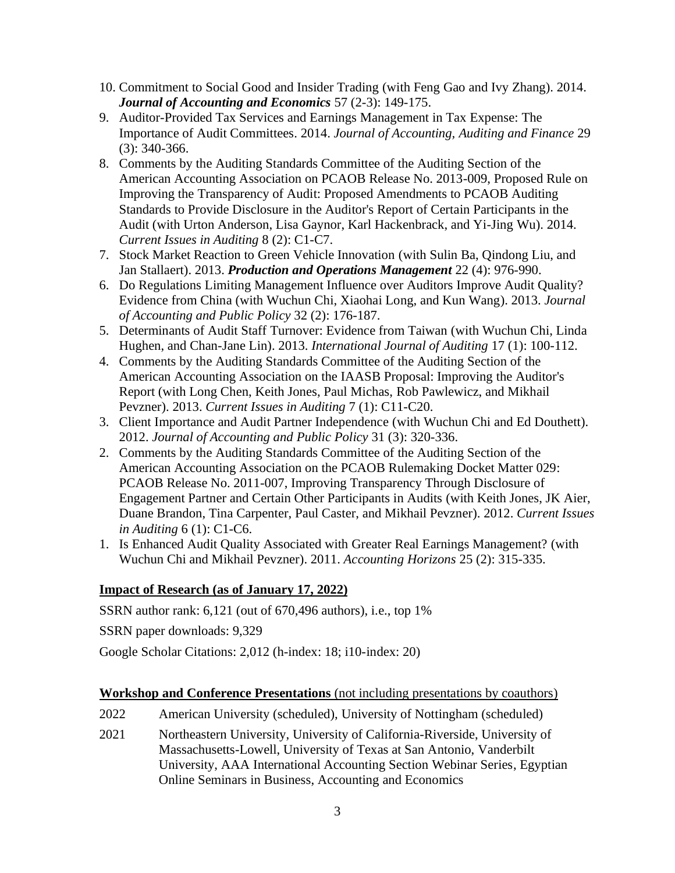- 10. Commitment to Social Good and Insider Trading (with Feng Gao and Ivy Zhang). 2014. *Journal of Accounting and Economics* 57 (2-3): 149-175.
- 9. Auditor-Provided Tax Services and Earnings Management in Tax Expense: The Importance of Audit Committees. 2014. *Journal of Accounting, Auditing and Finance* 29 (3): 340-366.
- 8. Comments by the Auditing Standards Committee of the Auditing Section of the American Accounting Association on PCAOB Release No. 2013-009, Proposed Rule on Improving the Transparency of Audit: Proposed Amendments to PCAOB Auditing Standards to Provide Disclosure in the Auditor's Report of Certain Participants in the Audit (with Urton Anderson, Lisa Gaynor, Karl Hackenbrack, and Yi-Jing Wu). 2014. *Current Issues in Auditing* 8 (2): C1-C7.
- 7. Stock Market Reaction to Green Vehicle Innovation (with Sulin Ba, Qindong Liu, and Jan Stallaert). 2013. *Production and Operations Management* 22 (4): 976-990.
- 6. Do Regulations Limiting Management Influence over Auditors Improve Audit Quality? Evidence from China (with Wuchun Chi, Xiaohai Long, and Kun Wang). 2013. *Journal of Accounting and Public Policy* 32 (2): 176-187.
- 5. Determinants of Audit Staff Turnover: Evidence from Taiwan (with Wuchun Chi, Linda Hughen, and Chan-Jane Lin). 2013. *International Journal of Auditing* 17 (1): 100-112.
- 4. Comments by the Auditing Standards Committee of the Auditing Section of the American Accounting Association on the IAASB Proposal: Improving the Auditor's Report (with Long Chen, Keith Jones, Paul Michas, Rob Pawlewicz, and Mikhail Pevzner). 2013. *Current Issues in Auditing* 7 (1): C11-C20.
- 3. Client Importance and Audit Partner Independence (with Wuchun Chi and Ed Douthett). 2012. *Journal of Accounting and Public Policy* 31 (3): 320-336.
- 2. Comments by the Auditing Standards Committee of the Auditing Section of the American Accounting Association on the PCAOB Rulemaking Docket Matter 029: PCAOB Release No. 2011-007, Improving Transparency Through Disclosure of Engagement Partner and Certain Other Participants in Audits (with Keith Jones, JK Aier, Duane Brandon, Tina Carpenter, Paul Caster, and Mikhail Pevzner). 2012. *Current Issues in Auditing* 6 (1): C1-C6.
- 1. Is Enhanced Audit Quality Associated with Greater Real Earnings Management? (with Wuchun Chi and Mikhail Pevzner). 2011. *Accounting Horizons* 25 (2): 315-335.

# **Impact of Research (as of January 17, 2022)**

SSRN author rank: 6,121 (out of 670,496 authors), i.e., top 1%

SSRN paper downloads: 9,329

Google Scholar Citations: 2,012 (h-index: 18; i10-index: 20)

# **Workshop and Conference Presentations** (not including presentations by coauthors)

- 2022 American University (scheduled), University of Nottingham (scheduled)
- 2021 Northeastern University, University of California-Riverside, University of Massachusetts-Lowell, University of Texas at San Antonio, Vanderbilt University, AAA International Accounting Section Webinar Series, Egyptian Online Seminars in Business, Accounting and Economics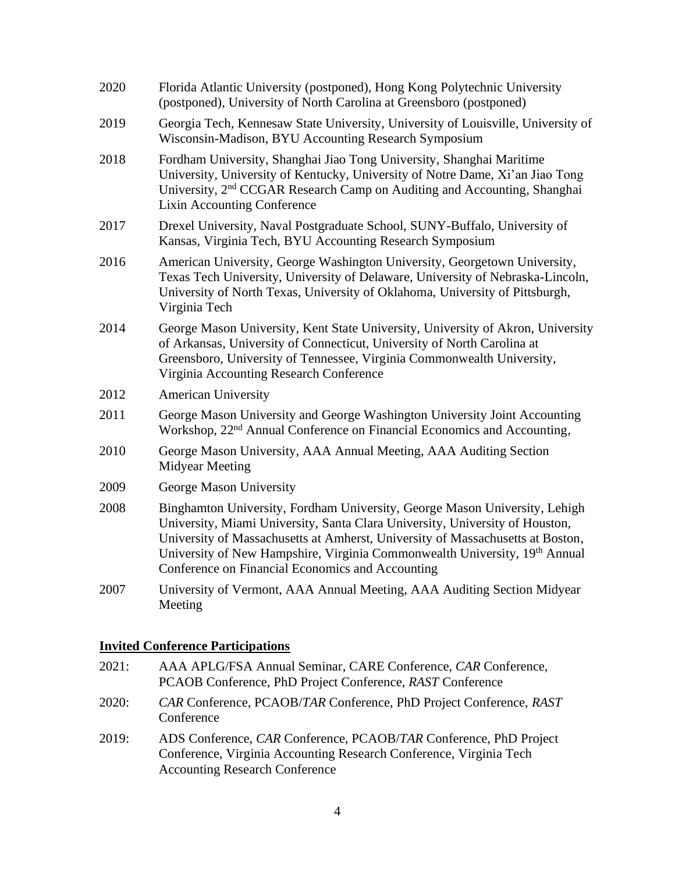| 2020 | Florida Atlantic University (postponed), Hong Kong Polytechnic University<br>(postponed), University of North Carolina at Greensboro (postponed)                                                                                                                                                                                                                               |
|------|--------------------------------------------------------------------------------------------------------------------------------------------------------------------------------------------------------------------------------------------------------------------------------------------------------------------------------------------------------------------------------|
| 2019 | Georgia Tech, Kennesaw State University, University of Louisville, University of<br>Wisconsin-Madison, BYU Accounting Research Symposium                                                                                                                                                                                                                                       |
| 2018 | Fordham University, Shanghai Jiao Tong University, Shanghai Maritime<br>University, University of Kentucky, University of Notre Dame, Xi'an Jiao Tong<br>University, 2 <sup>nd</sup> CCGAR Research Camp on Auditing and Accounting, Shanghai<br><b>Lixin Accounting Conference</b>                                                                                            |
| 2017 | Drexel University, Naval Postgraduate School, SUNY-Buffalo, University of<br>Kansas, Virginia Tech, BYU Accounting Research Symposium                                                                                                                                                                                                                                          |
| 2016 | American University, George Washington University, Georgetown University,<br>Texas Tech University, University of Delaware, University of Nebraska-Lincoln,<br>University of North Texas, University of Oklahoma, University of Pittsburgh,<br>Virginia Tech                                                                                                                   |
| 2014 | George Mason University, Kent State University, University of Akron, University<br>of Arkansas, University of Connecticut, University of North Carolina at<br>Greensboro, University of Tennessee, Virginia Commonwealth University,<br>Virginia Accounting Research Conference                                                                                                |
| 2012 | <b>American University</b>                                                                                                                                                                                                                                                                                                                                                     |
| 2011 | George Mason University and George Washington University Joint Accounting<br>Workshop, 22 <sup>nd</sup> Annual Conference on Financial Economics and Accounting,                                                                                                                                                                                                               |
| 2010 | George Mason University, AAA Annual Meeting, AAA Auditing Section<br><b>Midyear Meeting</b>                                                                                                                                                                                                                                                                                    |
| 2009 | George Mason University                                                                                                                                                                                                                                                                                                                                                        |
| 2008 | Binghamton University, Fordham University, George Mason University, Lehigh<br>University, Miami University, Santa Clara University, University of Houston,<br>University of Massachusetts at Amherst, University of Massachusetts at Boston,<br>University of New Hampshire, Virginia Commonwealth University, 19th Annual<br>Conference on Financial Economics and Accounting |
| 2007 | University of Vermont, AAA Annual Meeting, AAA Auditing Section Midyear<br>Meeting                                                                                                                                                                                                                                                                                             |
|      |                                                                                                                                                                                                                                                                                                                                                                                |

# **Invited Conference Participations**

| 2021: | AAA APLG/FSA Annual Seminar, CARE Conference, CAR Conference,<br>PCAOB Conference, PhD Project Conference, RAST Conference                                                       |
|-------|----------------------------------------------------------------------------------------------------------------------------------------------------------------------------------|
| 2020: | CAR Conference, PCAOB/TAR Conference, PhD Project Conference, RAST<br>Conference                                                                                                 |
| 2019: | ADS Conference, CAR Conference, PCAOB/TAR Conference, PhD Project<br>Conference, Virginia Accounting Research Conference, Virginia Tech<br><b>Accounting Research Conference</b> |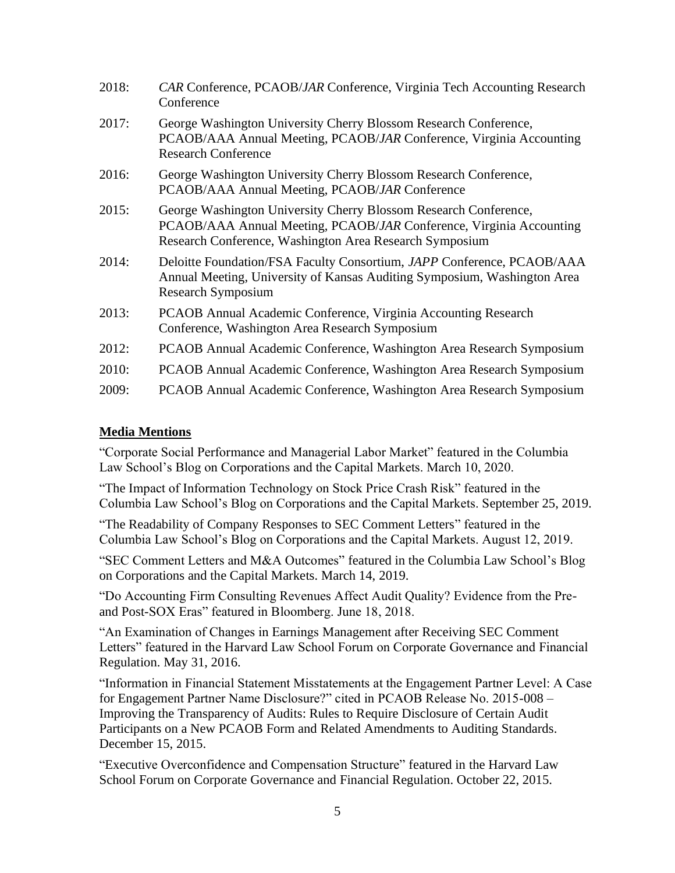| 2018: | CAR Conference, PCAOB/JAR Conference, Virginia Tech Accounting Research<br>Conference                                                                                                              |
|-------|----------------------------------------------------------------------------------------------------------------------------------------------------------------------------------------------------|
| 2017: | George Washington University Cherry Blossom Research Conference,<br>PCAOB/AAA Annual Meeting, PCAOB/JAR Conference, Virginia Accounting<br><b>Research Conference</b>                              |
| 2016: | George Washington University Cherry Blossom Research Conference,<br>PCAOB/AAA Annual Meeting, PCAOB/JAR Conference                                                                                 |
| 2015: | George Washington University Cherry Blossom Research Conference,<br>PCAOB/AAA Annual Meeting, PCAOB/JAR Conference, Virginia Accounting<br>Research Conference, Washington Area Research Symposium |
| 2014: | Deloitte Foundation/FSA Faculty Consortium, JAPP Conference, PCAOB/AAA<br>Annual Meeting, University of Kansas Auditing Symposium, Washington Area<br><b>Research Symposium</b>                    |
| 2013: | PCAOB Annual Academic Conference, Virginia Accounting Research<br>Conference, Washington Area Research Symposium                                                                                   |
| 2012: | PCAOB Annual Academic Conference, Washington Area Research Symposium                                                                                                                               |
| 2010: | PCAOB Annual Academic Conference, Washington Area Research Symposium                                                                                                                               |
| 2009: | PCAOB Annual Academic Conference, Washington Area Research Symposium                                                                                                                               |

# **Media Mentions**

"Corporate Social Performance and Managerial Labor Market" featured in the Columbia Law School's Blog on Corporations and the Capital Markets. March 10, 2020.

"The Impact of Information Technology on Stock Price Crash Risk" featured in the Columbia Law School's Blog on Corporations and the Capital Markets. September 25, 2019.

"The Readability of Company Responses to SEC Comment Letters" featured in the Columbia Law School's Blog on Corporations and the Capital Markets. August 12, 2019.

"SEC Comment Letters and M&A Outcomes" featured in the Columbia Law School's Blog on Corporations and the Capital Markets. March 14, 2019.

"Do Accounting Firm Consulting Revenues Affect Audit Quality? Evidence from the Preand Post-SOX Eras" featured in Bloomberg. June 18, 2018.

"An Examination of Changes in Earnings Management after Receiving SEC Comment Letters" featured in the Harvard Law School Forum on Corporate Governance and Financial Regulation. May 31, 2016.

"Information in Financial Statement Misstatements at the Engagement Partner Level: A Case for Engagement Partner Name Disclosure?" cited in PCAOB Release No. 2015-008 – Improving the Transparency of Audits: Rules to Require Disclosure of Certain Audit Participants on a New PCAOB Form and Related Amendments to Auditing Standards. December 15, 2015.

"Executive Overconfidence and Compensation Structure" featured in the Harvard Law School Forum on Corporate Governance and Financial Regulation. October 22, 2015.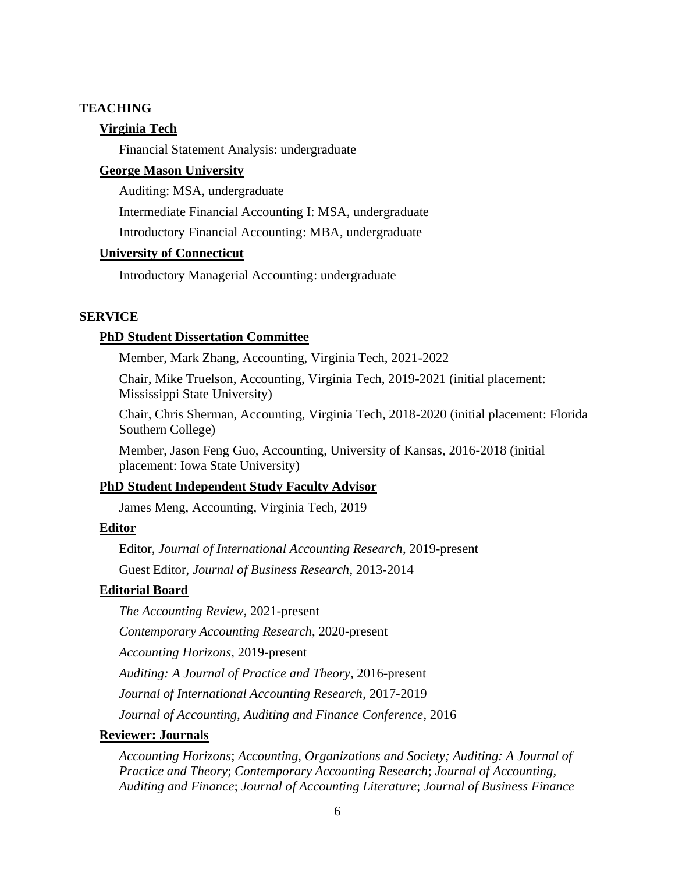### **TEACHING**

## **Virginia Tech**

Financial Statement Analysis: undergraduate

# **George Mason University**

Auditing: MSA, undergraduate

Intermediate Financial Accounting I: MSA, undergraduate

Introductory Financial Accounting: MBA, undergraduate

# **University of Connecticut**

Introductory Managerial Accounting: undergraduate

## **SERVICE**

#### **PhD Student Dissertation Committee**

Member, Mark Zhang, Accounting, Virginia Tech, 2021-2022

Chair, Mike Truelson, Accounting, Virginia Tech, 2019-2021 (initial placement: Mississippi State University)

Chair, Chris Sherman, Accounting, Virginia Tech, 2018-2020 (initial placement: Florida Southern College)

Member, Jason Feng Guo, Accounting, University of Kansas, 2016-2018 (initial placement: Iowa State University)

### **PhD Student Independent Study Faculty Advisor**

James Meng, Accounting, Virginia Tech, 2019

## **Editor**

Editor, *Journal of International Accounting Research*, 2019-present Guest Editor, *Journal of Business Research*, 2013-2014

#### **Editorial Board**

*The Accounting Review*, 2021-present

*Contemporary Accounting Research*, 2020-present

*Accounting Horizons*, 2019-present

*Auditing: A Journal of Practice and Theory*, 2016-present

*Journal of International Accounting Research*, 2017-2019

*Journal of Accounting, Auditing and Finance Conference*, 2016

## **Reviewer: Journals**

*Accounting Horizons*; *Accounting, Organizations and Society; Auditing: A Journal of Practice and Theory*; *Contemporary Accounting Research*; *Journal of Accounting, Auditing and Finance*; *Journal of Accounting Literature*; *Journal of Business Finance*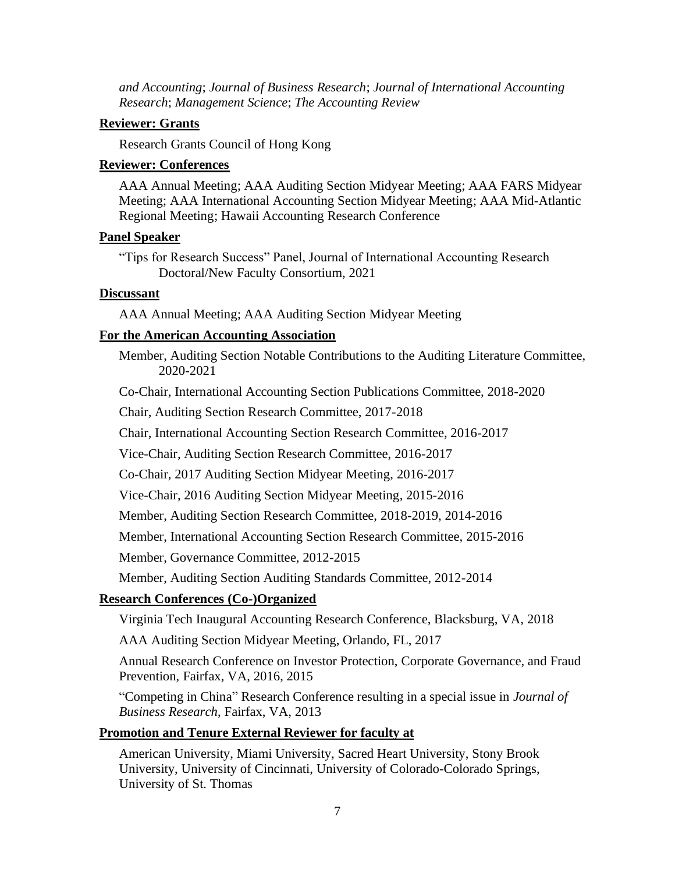*and Accounting*; *Journal of Business Research*; *Journal of International Accounting Research*; *Management Science*; *The Accounting Review*

#### **Reviewer: Grants**

Research Grants Council of Hong Kong

#### **Reviewer: Conferences**

AAA Annual Meeting; AAA Auditing Section Midyear Meeting; AAA FARS Midyear Meeting; AAA International Accounting Section Midyear Meeting; AAA Mid-Atlantic Regional Meeting; Hawaii Accounting Research Conference

## **Panel Speaker**

"Tips for Research Success" Panel, Journal of International Accounting Research Doctoral/New Faculty Consortium, 2021

#### **Discussant**

AAA Annual Meeting; AAA Auditing Section Midyear Meeting

#### **For the American Accounting Association**

Member, Auditing Section Notable Contributions to the Auditing Literature Committee, 2020-2021

Co-Chair, International Accounting Section Publications Committee, 2018-2020

Chair, Auditing Section Research Committee, 2017-2018

Chair, International Accounting Section Research Committee, 2016-2017

Vice-Chair, Auditing Section Research Committee, 2016-2017

Co-Chair, 2017 Auditing Section Midyear Meeting, 2016-2017

Vice-Chair, 2016 Auditing Section Midyear Meeting, 2015-2016

Member, Auditing Section Research Committee, 2018-2019, 2014-2016

Member, International Accounting Section Research Committee, 2015-2016

Member, Governance Committee, 2012-2015

Member, Auditing Section Auditing Standards Committee, 2012-2014

## **Research Conferences (Co-)Organized**

Virginia Tech Inaugural Accounting Research Conference, Blacksburg, VA, 2018

AAA Auditing Section Midyear Meeting, Orlando, FL, 2017

Annual Research Conference on Investor Protection, Corporate Governance, and Fraud Prevention, Fairfax, VA, 2016, 2015

"Competing in China" Research Conference resulting in a special issue in *Journal of Business Research*, Fairfax, VA, 2013

### **Promotion and Tenure External Reviewer for faculty at**

American University, Miami University, Sacred Heart University, Stony Brook University, University of Cincinnati, University of Colorado-Colorado Springs, University of St. Thomas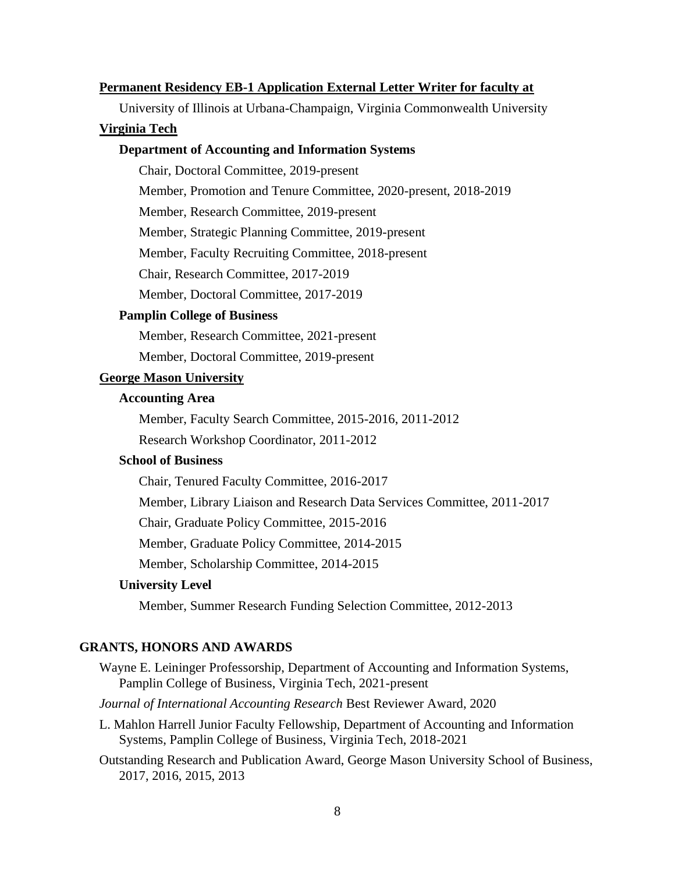#### **Permanent Residency EB-1 Application External Letter Writer for faculty at**

University of Illinois at Urbana-Champaign, Virginia Commonwealth University

#### **Virginia Tech**

### **Department of Accounting and Information Systems**

Chair, Doctoral Committee, 2019-present

Member, Promotion and Tenure Committee, 2020-present, 2018-2019

Member, Research Committee, 2019-present

Member, Strategic Planning Committee, 2019-present

Member, Faculty Recruiting Committee, 2018-present

Chair, Research Committee, 2017-2019

Member, Doctoral Committee, 2017-2019

#### **Pamplin College of Business**

Member, Research Committee, 2021-present

Member, Doctoral Committee, 2019-present

# **George Mason University**

#### **Accounting Area**

Member, Faculty Search Committee, 2015-2016, 2011-2012

Research Workshop Coordinator, 2011-2012

## **School of Business**

Chair, Tenured Faculty Committee, 2016-2017

Member, Library Liaison and Research Data Services Committee, 2011-2017

Chair, Graduate Policy Committee, 2015-2016

Member, Graduate Policy Committee, 2014-2015

Member, Scholarship Committee, 2014-2015

#### **University Level**

Member, Summer Research Funding Selection Committee, 2012-2013

#### **GRANTS, HONORS AND AWARDS**

Wayne E. Leininger Professorship, Department of Accounting and Information Systems, Pamplin College of Business, Virginia Tech, 2021-present

#### *Journal of International Accounting Research* Best Reviewer Award, 2020

- L. Mahlon Harrell Junior Faculty Fellowship, Department of Accounting and Information Systems, Pamplin College of Business, Virginia Tech, 2018-2021
- Outstanding Research and Publication Award, George Mason University School of Business, 2017, 2016, 2015, 2013